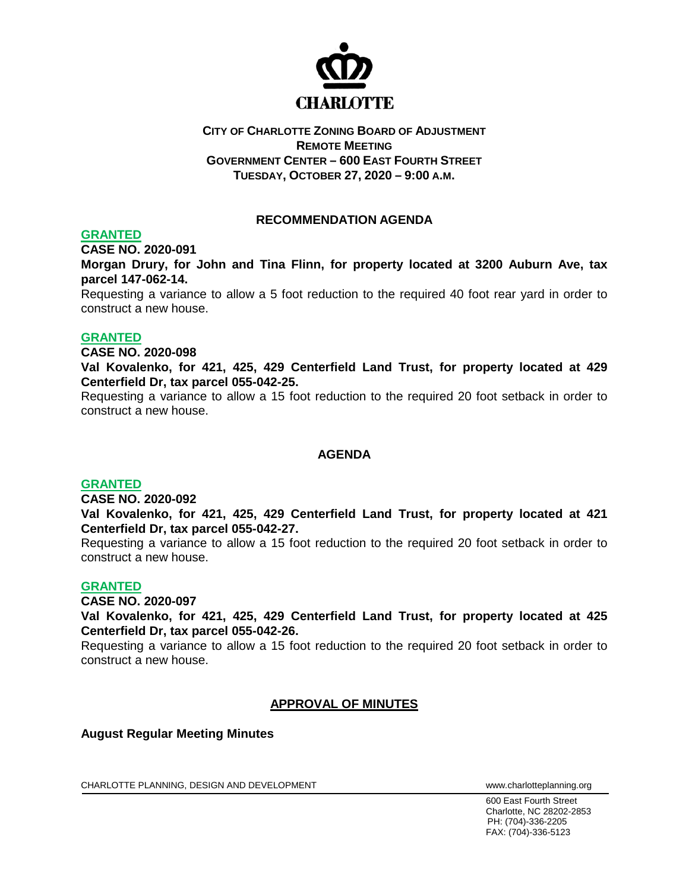

# **CITY OF CHARLOTTE ZONING BOARD OF ADJUSTMENT REMOTE MEETING GOVERNMENT CENTER – 600 EAST FOURTH STREET TUESDAY, OCTOBER 27, 2020 – 9:00 A.M.**

# **RECOMMENDATION AGENDA**

### **GRANTED**

**CASE NO. 2020-091**

**Morgan Drury, for John and Tina Flinn, for property located at 3200 Auburn Ave, tax parcel 147-062-14.**

Requesting a variance to allow a 5 foot reduction to the required 40 foot rear yard in order to construct a new house.

### **GRANTED**

**CASE NO. 2020-098**

**Val Kovalenko, for 421, 425, 429 Centerfield Land Trust, for property located at 429 Centerfield Dr, tax parcel 055-042-25.**

Requesting a variance to allow a 15 foot reduction to the required 20 foot setback in order to construct a new house.

### **AGENDA**

### **GRANTED**

**CASE NO. 2020-092**

**Val Kovalenko, for 421, 425, 429 Centerfield Land Trust, for property located at 421 Centerfield Dr, tax parcel 055-042-27.**

Requesting a variance to allow a 15 foot reduction to the required 20 foot setback in order to construct a new house.

#### **GRANTED**

**CASE NO. 2020-097**

**Val Kovalenko, for 421, 425, 429 Centerfield Land Trust, for property located at 425 Centerfield Dr, tax parcel 055-042-26.**

Requesting a variance to allow a 15 foot reduction to the required 20 foot setback in order to construct a new house.

# **APPROVAL OF MINUTES**

**August Regular Meeting Minutes**

CHARLOTTE PLANNING, DESIGN AND DEVELOPMENT WWW.Charlotteplanning.org

600 East Fourth Street Charlotte, NC 28202-2853 PH: (704)-336-2205 FAX: (704)-336-5123